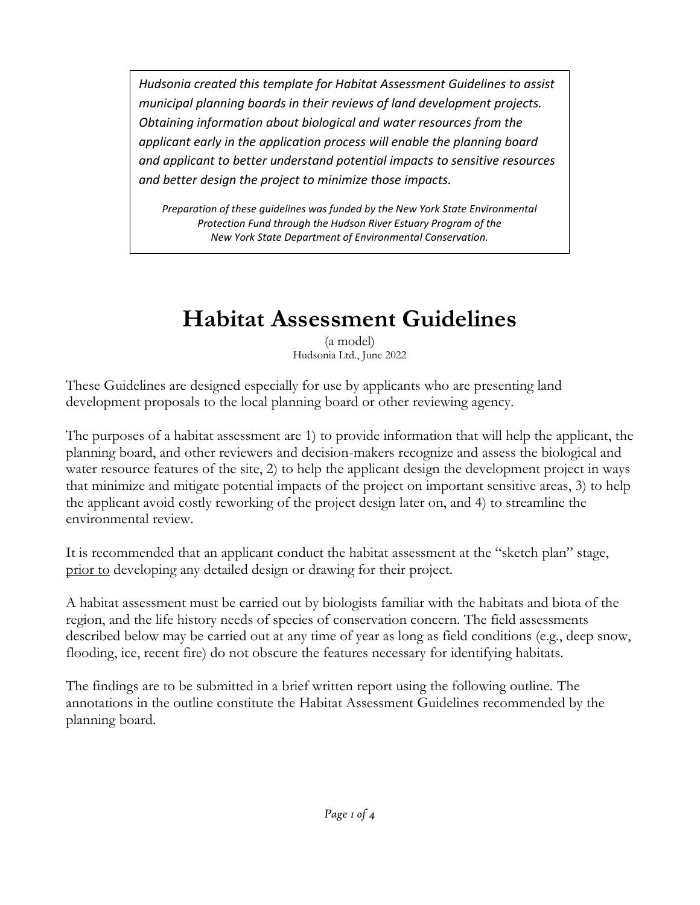*Hudsonia created this template for Habitat Assessment Guidelines to assist municipal planning boards in their reviews of land development projects. Obtaining information about biological and water resources from the applicant early in the application process will enable the planning board and applicant to better understand potential impacts to sensitive resources and better design the project to minimize those impacts.*

*Preparation of these guidelines was funded by the New York State Environmental Protection Fund through the Hudson River Estuary Program of the New York State Department of Environmental Conservation.*

# **Habitat Assessment Guidelines**

(a model) Hudsonia Ltd., June 2022

These Guidelines are designed especially for use by applicants who are presenting land development proposals to the local planning board or other reviewing agency.

The purposes of a habitat assessment are 1) to provide information that will help the applicant, the planning board, and other reviewers and decision-makers recognize and assess the biological and water resource features of the site, 2) to help the applicant design the development project in ways that minimize and mitigate potential impacts of the project on important sensitive areas, 3) to help the applicant avoid costly reworking of the project design later on, and 4) to streamline the environmental review.

It is recommended that an applicant conduct the habitat assessment at the "sketch plan" stage, prior to developing any detailed design or drawing for their project.

A habitat assessment must be carried out by biologists familiar with the habitats and biota of the region, and the life history needs of species of conservation concern. The field assessments described below may be carried out at any time of year as long as field conditions (e.g., deep snow, flooding, ice, recent fire) do not obscure the features necessary for identifying habitats.

The findings are to be submitted in a brief written report using the following outline. The annotations in the outline constitute the Habitat Assessment Guidelines recommended by the planning board.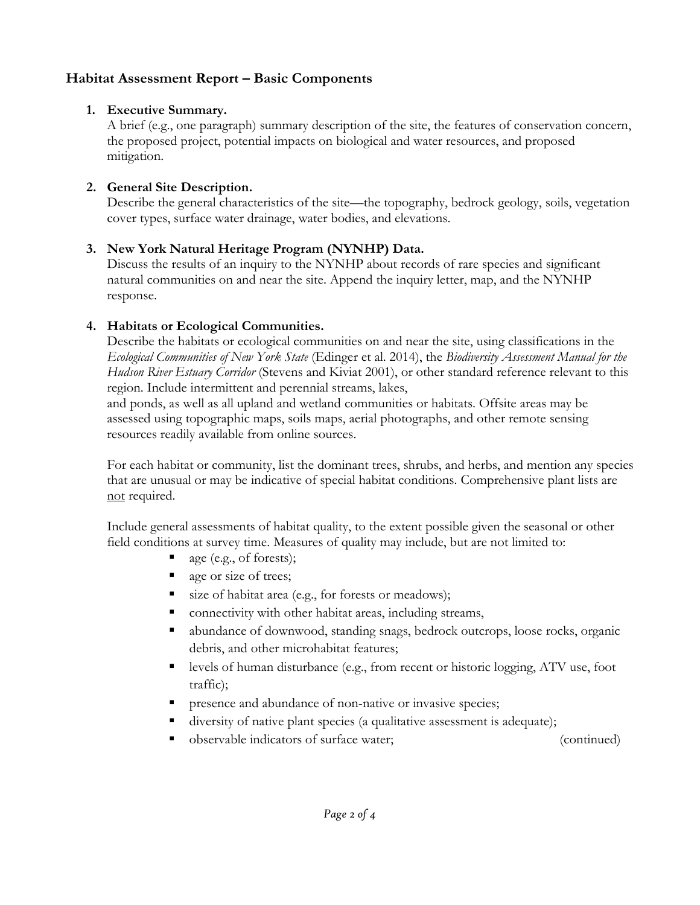# **Habitat Assessment Report – Basic Components**

## **1. Executive Summary.**

A brief (e.g., one paragraph) summary description of the site, the features of conservation concern, the proposed project, potential impacts on biological and water resources, and proposed mitigation.

## **2. General Site Description.**

Describe the general characteristics of the site—the topography, bedrock geology, soils, vegetation cover types, surface water drainage, water bodies, and elevations.

## **3. New York Natural Heritage Program (NYNHP) Data.**

Discuss the results of an inquiry to the NYNHP about records of rare species and significant natural communities on and near the site. Append the inquiry letter, map, and the NYNHP response.

### **4. Habitats or Ecological Communities.**

Describe the habitats or ecological communities on and near the site, using classifications in the *Ecological Communities of New York State* (Edinger et al. 2014), the *Biodiversity Assessment Manual for the Hudson River Estuary Corridor* (Stevens and Kiviat 2001), or other standard reference relevant to this region. Include intermittent and perennial streams, lakes,

and ponds, as well as all upland and wetland communities or habitats. Offsite areas may be assessed using topographic maps, soils maps, aerial photographs, and other remote sensing resources readily available from online sources.

For each habitat or community, list the dominant trees, shrubs, and herbs, and mention any species that are unusual or may be indicative of special habitat conditions. Comprehensive plant lists are not required.

Include general assessments of habitat quality, to the extent possible given the seasonal or other field conditions at survey time. Measures of quality may include, but are not limited to:

- age (e.g., of forests);
- que or size of trees;
- size of habitat area (e.g., for forests or meadows);
- connectivity with other habitat areas, including streams,
- abundance of downwood, standing snags, bedrock outcrops, loose rocks, organic debris, and other microhabitat features;
- levels of human disturbance (e.g., from recent or historic logging, ATV use, foot traffic);
- **PEDIE:** presence and abundance of non-native or invasive species;
- diversity of native plant species (a qualitative assessment is adequate);
- observable indicators of surface water; (continued)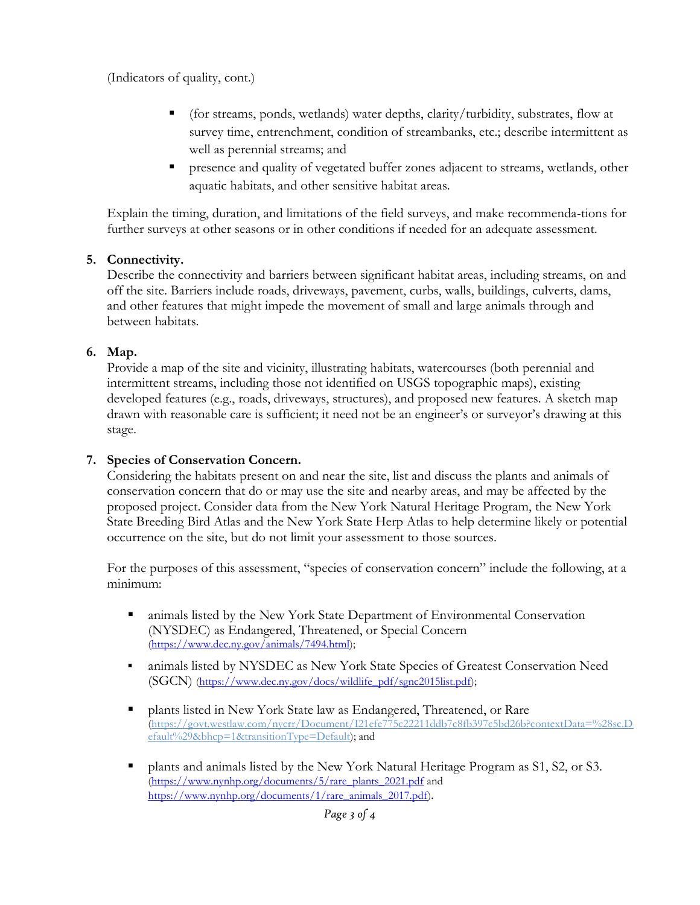(Indicators of quality, cont.)

- (for streams, ponds, wetlands) water depths, clarity/turbidity, substrates, flow at survey time, entrenchment, condition of streambanks, etc.; describe intermittent as well as perennial streams; and
- presence and quality of vegetated buffer zones adjacent to streams, wetlands, other aquatic habitats, and other sensitive habitat areas.

Explain the timing, duration, and limitations of the field surveys, and make recommenda-tions for further surveys at other seasons or in other conditions if needed for an adequate assessment.

#### **5. Connectivity.**

Describe the connectivity and barriers between significant habitat areas, including streams, on and off the site. Barriers include roads, driveways, pavement, curbs, walls, buildings, culverts, dams, and other features that might impede the movement of small and large animals through and between habitats.

### **6. Map.**

Provide a map of the site and vicinity, illustrating habitats, watercourses (both perennial and intermittent streams, including those not identified on USGS topographic maps), existing developed features (e.g., roads, driveways, structures), and proposed new features. A sketch map drawn with reasonable care is sufficient; it need not be an engineer's or surveyor's drawing at this stage.

## **7. Species of Conservation Concern.**

Considering the habitats present on and near the site, list and discuss the plants and animals of conservation concern that do or may use the site and nearby areas, and may be affected by the proposed project. Consider data from the New York Natural Heritage Program, the New York State Breeding Bird Atlas and the New York State Herp Atlas to help determine likely or potential occurrence on the site, but do not limit your assessment to those sources.

For the purposes of this assessment, "species of conservation concern" include the following, at a minimum:

- animals listed by the New York State Department of Environmental Conservation (NYSDEC) as Endangered, Threatened, or Special Concern [\(https://www.dec.ny.gov/animals/7494.html\)](https://www.dec.ny.gov/animals/7494.html);
- animals listed by NYSDEC as New York State Species of Greatest Conservation Need (SGCN) [\(https://www.dec.ny.gov/docs/wildlife\\_pdf/sgnc2015list.pdf\)](https://www.dec.ny.gov/docs/wildlife_pdf/sgnc2015list.pdf);
- plants listed in New York State law as Endangered, Threatened, or Rare [\(https://govt.westlaw.com/nycrr/Document/I21efe775c22211ddb7c8fb397c5bd26b?contextData=%28sc.D](https://govt.westlaw.com/nycrr/Document/I21efe775c22211ddb7c8fb397c5bd26b?contextData=%28sc.Default%29&bhcp=1&transitionType=Default) [efault%29&bhcp=1&transitionType=Default\)](https://govt.westlaw.com/nycrr/Document/I21efe775c22211ddb7c8fb397c5bd26b?contextData=%28sc.Default%29&bhcp=1&transitionType=Default); and
- plants and animals listed by the New York Natural Heritage Program as S1, S2, or S3. [\(https://www.nynhp.org/documents/5/rare\\_plants\\_2021.pdf](https://www.nynhp.org/documents/5/rare_plants_2021.pdf) and [https://www.nynhp.org/documents/1/rare\\_animals\\_2017.pdf\)](https://www.nynhp.org/documents/1/rare_animals_2017.pdf).